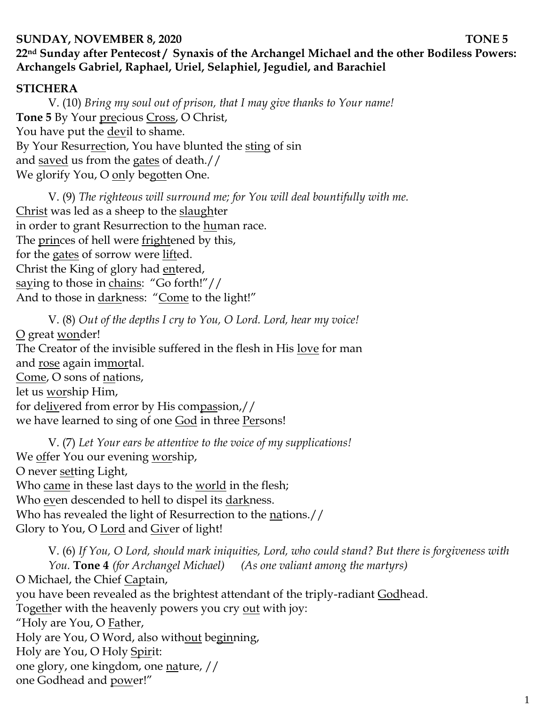### **SUNDAY, NOVEMBER 8, 2020 TONE 5**

# **22nd Sunday after Pentecost / Synaxis of the Archangel Michael and the other Bodiless Powers: Archangels Gabriel, Raphael, Uriel, Selaphiel, Jegudiel, and Barachiel**

## **STICHERA**

V. (10) *Bring my soul out of prison, that I may give thanks to Your name!*  Tone 5 By Your precious Cross, O Christ, You have put the devil to shame. By Your Resurrection, You have blunted the sting of sin and saved us from the gates of death.// We glorify You, O only begotten One.

V. (9) *The righteous will surround me; for You will deal bountifully with me.*  Christ was led as a sheep to the slaughter in order to grant Resurrection to the human race. The princes of hell were frightened by this, for the gates of sorrow were lifted. Christ the King of glory had entered, saying to those in chains: "Go forth!"// And to those in <u>dark</u>ness: "Come to the light!"

V. (8) *Out of the depths I cry to You, O Lord. Lord, hear my voice!*  O great wonder! The Creator of the invisible suffered in the flesh in His love for man and rose again immortal. Come, O sons of nations, let us worship Him, for delivered from error by His compassion,// we have learned to sing of one God in three Persons!

V. (7) *Let Your ears be attentive to the voice of my supplications!* We offer You our evening worship, O never setting Light, Who came in these last days to the world in the flesh; Who even descended to hell to dispel its darkness. Who has revealed the light of Resurrection to the nations.// Glory to You, O Lord and Giver of light!

V. (6) *If You, O Lord, should mark iniquities, Lord, who could stand? But there is forgiveness with You.* **Tone 4** *(for Archangel Michael) (As one valiant among the martyrs)* O Michael, the Chief Captain, you have been revealed as the brightest attendant of the triply-radiant Godhead. Together with the heavenly powers you cry out with joy: "Holy are You, O Father, Holy are You, O Word, also without beginning, Holy are You, O Holy Spirit: one glory, one kingdom, one nature, // one Godhead and power!"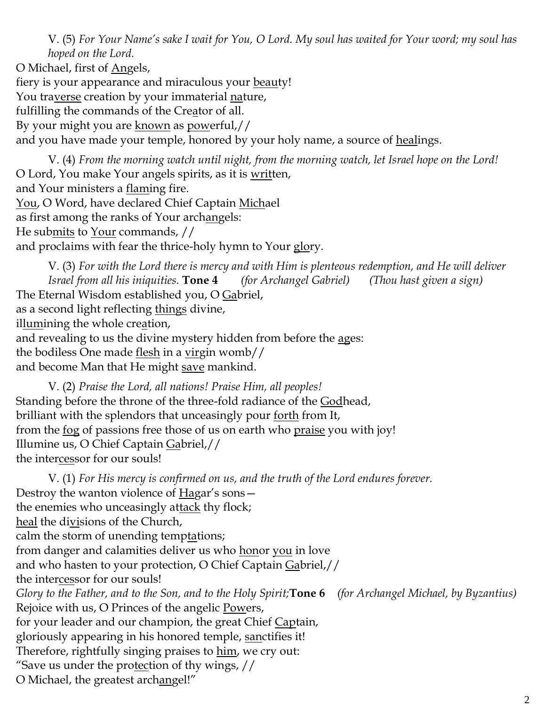V. (5) *For Your Name's sake I wait for You, O Lord. My soul has waited for Your word; my soul has hoped on the Lord.* 

O Michael, first of Angels, fiery is your appearance and miraculous your beauty! You traverse creation by your immaterial nature, fulfilling the commands of the Creator of all. By your might you are known as powerful,// and you have made your temple, honored by your holy name, a source of healings.

V. (4) *From the morning watch until night, from the morning watch, let Israel hope on the Lord!*  O Lord, You make Your angels spirits, as it is written, and Your ministers a <u>flam</u>ing fire. You, O Word, have declared Chief Captain Michael as first among the ranks of Your archangels: He submits to Your commands, // and proclaims with fear the thrice-holy hymn to Your glory.

V. (3) *For with the Lord there is mercy and with Him is plenteous redemption, and He will deliver Israel from all his iniquities.* **Tone 4** *(for Archangel Gabriel) (Thou hast given a sign)* The Eternal Wisdom established you, O Gabriel, as a second light reflecting things divine, illumining the whole creation, and revealing to us the divine mystery hidden from before the ages: the bodiless One made flesh in a virgin womb// and become Man that He might save mankind.

V. (2) *Praise the Lord, all nations! Praise Him, all peoples!* Standing before the throne of the three-fold radiance of the Godhead, brilliant with the splendors that unceasingly pour forth from It, from the <u>fog</u> of passions free those of us on earth who <u>praise</u> you with joy! Illumine us, O Chief Captain Gabriel,// the intercessor for our souls!

V. (1) *For His mercy is confirmed on us, and the truth of the Lord endures forever.*  Destroy the wanton violence of Hagar's sons the enemies who unceasingly attack thy flock; heal the divisions of the Church, calm the storm of unending temptations; from danger and calamities deliver us who honor you in love and who hasten to your protection, O Chief Captain Gabriel,// the intercessor for our souls! *Glory to the Father, and to the Son, and to the Holy Spirit;***Tone 6** *(for Archangel Michael, by Byzantius)* Rejoice with us, O Princes of the angelic Powers, for your leader and our champion, the great Chief Captain, gloriously appearing in his honored temple, sanctifies it! Therefore, rightfully singing praises to him, we cry out: "Save us under the protection of thy wings,  $\frac{1}{1}$ O Michael, the greatest archangel!"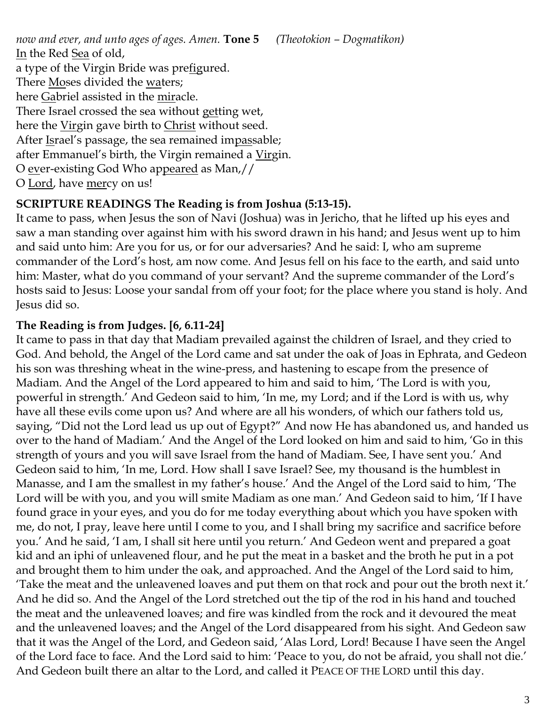*now and ever, and unto ages of ages. Amen.* **Tone 5** *(Theotokion – Dogmatikon)* In the Red Sea of old, a type of the Virgin Bride was prefigured. There Moses divided the waters; here Gabriel assisted in the miracle. There Israel crossed the sea without getting wet, here the Virgin gave birth to Christ without seed. After Israel's passage, the sea remained impassable; after Emmanuel's birth, the Virgin remained a Virgin. O ever-existing God Who appeared as Man,// O Lord, have mercy on us!

## **SCRIPTURE READINGS The Reading is from Joshua (5:13-15).**

It came to pass, when Jesus the son of Navi (Joshua) was in Jericho, that he lifted up his eyes and saw a man standing over against him with his sword drawn in his hand; and Jesus went up to him and said unto him: Are you for us, or for our adversaries? And he said: I, who am supreme commander of the Lord's host, am now come. And Jesus fell on his face to the earth, and said unto him: Master, what do you command of your servant? And the supreme commander of the Lord's hosts said to Jesus: Loose your sandal from off your foot; for the place where you stand is holy. And Jesus did so.

## **The Reading is from Judges. [6, 6.11-24]**

It came to pass in that day that Madiam prevailed against the children of Israel, and they cried to God. And behold, the Angel of the Lord came and sat under the oak of Joas in Ephrata, and Gedeon his son was threshing wheat in the wine-press, and hastening to escape from the presence of Madiam. And the Angel of the Lord appeared to him and said to him, 'The Lord is with you, powerful in strength.' And Gedeon said to him, 'In me, my Lord; and if the Lord is with us, why have all these evils come upon us? And where are all his wonders, of which our fathers told us, saying, "Did not the Lord lead us up out of Egypt?" And now He has abandoned us, and handed us over to the hand of Madiam.' And the Angel of the Lord looked on him and said to him, 'Go in this strength of yours and you will save Israel from the hand of Madiam. See, I have sent you.' And Gedeon said to him, 'In me, Lord. How shall I save Israel? See, my thousand is the humblest in Manasse, and I am the smallest in my father's house.' And the Angel of the Lord said to him, 'The Lord will be with you, and you will smite Madiam as one man.' And Gedeon said to him, 'If I have found grace in your eyes, and you do for me today everything about which you have spoken with me, do not, I pray, leave here until I come to you, and I shall bring my sacrifice and sacrifice before you.' And he said, 'I am, I shall sit here until you return.' And Gedeon went and prepared a goat kid and an iphi of unleavened flour, and he put the meat in a basket and the broth he put in a pot and brought them to him under the oak, and approached. And the Angel of the Lord said to him, 'Take the meat and the unleavened loaves and put them on that rock and pour out the broth next it.' And he did so. And the Angel of the Lord stretched out the tip of the rod in his hand and touched the meat and the unleavened loaves; and fire was kindled from the rock and it devoured the meat and the unleavened loaves; and the Angel of the Lord disappeared from his sight. And Gedeon saw that it was the Angel of the Lord, and Gedeon said, 'Alas Lord, Lord! Because I have seen the Angel of the Lord face to face. And the Lord said to him: 'Peace to you, do not be afraid, you shall not die.' And Gedeon built there an altar to the Lord, and called it PEACE OF THE LORD until this day.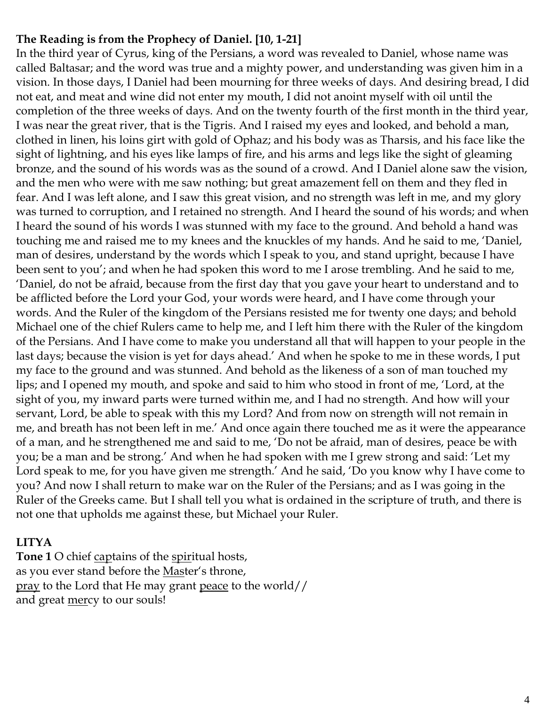## **The Reading is from the Prophecy of Daniel. [10, 1-21]**

In the third year of Cyrus, king of the Persians, a word was revealed to Daniel, whose name was called Baltasar; and the word was true and a mighty power, and understanding was given him in a vision. In those days, I Daniel had been mourning for three weeks of days. And desiring bread, I did not eat, and meat and wine did not enter my mouth, I did not anoint myself with oil until the completion of the three weeks of days. And on the twenty fourth of the first month in the third year, I was near the great river, that is the Tigris. And I raised my eyes and looked, and behold a man, clothed in linen, his loins girt with gold of Ophaz; and his body was as Tharsis, and his face like the sight of lightning, and his eyes like lamps of fire, and his arms and legs like the sight of gleaming bronze, and the sound of his words was as the sound of a crowd. And I Daniel alone saw the vision, and the men who were with me saw nothing; but great amazement fell on them and they fled in fear. And I was left alone, and I saw this great vision, and no strength was left in me, and my glory was turned to corruption, and I retained no strength. And I heard the sound of his words; and when I heard the sound of his words I was stunned with my face to the ground. And behold a hand was touching me and raised me to my knees and the knuckles of my hands. And he said to me, 'Daniel, man of desires, understand by the words which I speak to you, and stand upright, because I have been sent to you'; and when he had spoken this word to me I arose trembling. And he said to me, 'Daniel, do not be afraid, because from the first day that you gave your heart to understand and to be afflicted before the Lord your God, your words were heard, and I have come through your words. And the Ruler of the kingdom of the Persians resisted me for twenty one days; and behold Michael one of the chief Rulers came to help me, and I left him there with the Ruler of the kingdom of the Persians. And I have come to make you understand all that will happen to your people in the last days; because the vision is yet for days ahead.' And when he spoke to me in these words, I put my face to the ground and was stunned. And behold as the likeness of a son of man touched my lips; and I opened my mouth, and spoke and said to him who stood in front of me, 'Lord, at the sight of you, my inward parts were turned within me, and I had no strength. And how will your servant, Lord, be able to speak with this my Lord? And from now on strength will not remain in me, and breath has not been left in me.' And once again there touched me as it were the appearance of a man, and he strengthened me and said to me, 'Do not be afraid, man of desires, peace be with you; be a man and be strong.' And when he had spoken with me I grew strong and said: 'Let my Lord speak to me, for you have given me strength.' And he said, 'Do you know why I have come to you? And now I shall return to make war on the Ruler of the Persians; and as I was going in the Ruler of the Greeks came. But I shall tell you what is ordained in the scripture of truth, and there is not one that upholds me against these, but Michael your Ruler.

## **LITYA**

**Tone 1** O chief captains of the spiritual hosts, as you ever stand before the Master's throne, pray to the Lord that He may grant peace to the world// and great mercy to our souls!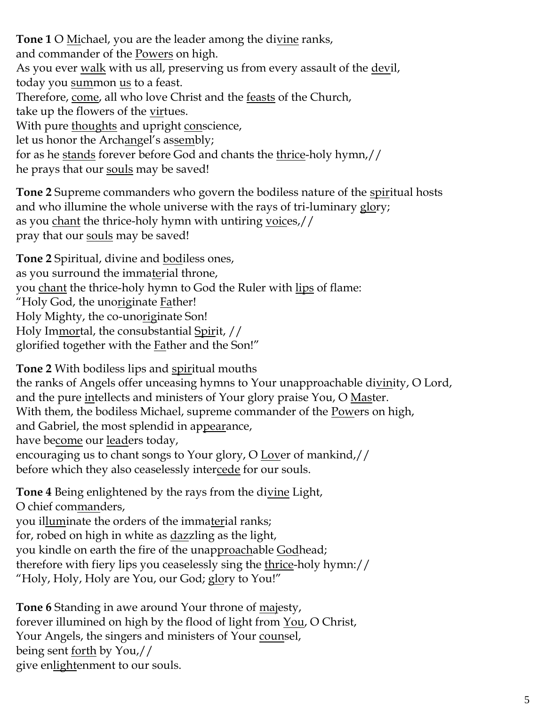**Tone 1** O Michael, you are the leader among the divine ranks, and commander of the Powers on high. As you ever walk with us all, preserving us from every assault of the devil, today you summon us to a feast. Therefore, come, all who love Christ and the <u>feasts</u> of the Church, take up the flowers of the virtues. With pure thoughts and upright conscience, let us honor the Archangel's assembly; for as he stands forever before God and chants the thrice-holy hymn,// he prays that our souls may be saved!

**Tone 2** Supreme commanders who govern the bodiless nature of the spiritual hosts and who illumine the whole universe with the rays of tri-luminary glory; as you chant the thrice-holy hymn with untiring voices,// pray that our souls may be saved!

**Tone 2** Spiritual, divine and bodiless ones, as you surround the immaterial throne, you chant the thrice-holy hymn to God the Ruler with lips of flame: "Holy God, the unoriginate Father! Holy Mighty, the co-unoriginate Son! Holy Immortal, the consubstantial Spirit, // glorified together with the **Father and the Son!**"

**Tone 2** With bodiless lips and spiritual mouths the ranks of Angels offer unceasing hymns to Your unapproachable divinity, O Lord, and the pure intellects and ministers of Your glory praise You, O Master. With them, the bodiless Michael, supreme commander of the Powers on high, and Gabriel, the most splendid in appearance, have become our leaders today, encouraging us to chant songs to Your glory, O Lover of mankind,// before which they also ceaselessly intercede for our souls.

**Tone 4** Being enlightened by the rays from the divine Light, O chief commanders, you illuminate the orders of the immaterial ranks; for, robed on high in white as <u>daz</u>zling as the light, you kindle on earth the fire of the unapproachable Godhead; therefore with fiery lips you ceaselessly sing the <u>thrice</u>-holy hymn:// "Holy, Holy, Holy are You, our God; glory to You!"

**Tone 6** Standing in awe around Your throne of majesty, forever illumined on high by the flood of light from You, O Christ, Your Angels, the singers and ministers of Your counsel, being sent <u>forth</u> by You,// give enlightenment to our souls.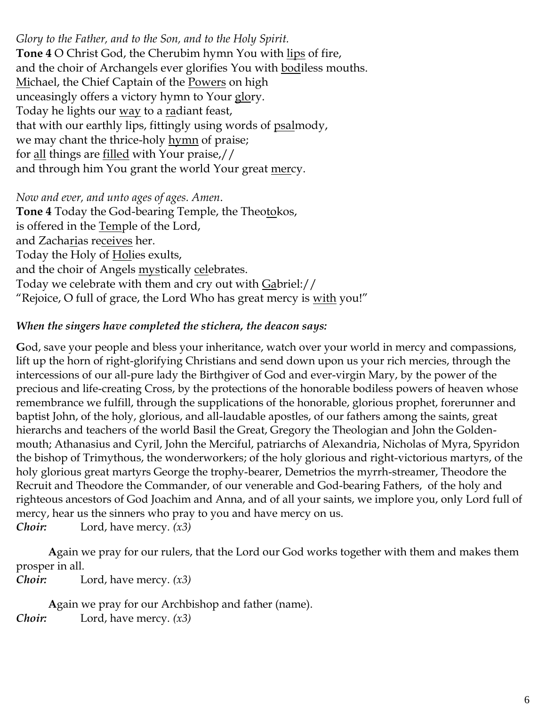*Glory to the Father, and to the Son, and to the Holy Spirit.* **Tone 4** O Christ God, the Cherubim hymn You with lips of fire, and the choir of Archangels ever glorifies You with bodiless mouths. Michael, the Chief Captain of the Powers on high unceasingly offers a victory hymn to Your glory. Today he lights our <u>way</u> to a <u>ra</u>diant feast, that with our earthly lips, fittingly using words of psalmody, we may chant the thrice-holy hymn of praise; for all things are filled with Your praise,// and through him You grant the world Your great mercy.

#### *Now and ever, and unto ages of ages. Amen*.

**Tone 4** Today the God-bearing Temple, the Theotokos, is offered in the Temple of the Lord, and Zacharias receives her. Today the Holy of Holies exults, and the choir of Angels mystically celebrates. Today we celebrate with them and cry out with Gabriel:// "Rejoice, O full of grace, the Lord Who has great mercy is with you!"

#### *When the singers have completed the stichera, the deacon says:*

**G**od, save your people and bless your inheritance, watch over your world in mercy and compassions, lift up the horn of right-glorifying Christians and send down upon us your rich mercies, through the intercessions of our all-pure lady the Birthgiver of God and ever-virgin Mary, by the power of the precious and life-creating Cross, by the protections of the honorable bodiless powers of heaven whose remembrance we fulfill, through the supplications of the honorable, glorious prophet, forerunner and baptist John, of the holy, glorious, and all-laudable apostles, of our fathers among the saints, great hierarchs and teachers of the world Basil the Great, Gregory the Theologian and John the Goldenmouth; Athanasius and Cyril, John the Merciful, patriarchs of Alexandria, Nicholas of Myra, Spyridon the bishop of Trimythous, the wonderworkers; of the holy glorious and right-victorious martyrs, of the holy glorious great martyrs George the trophy-bearer, Demetrios the myrrh-streamer, Theodore the Recruit and Theodore the Commander, of our venerable and God-bearing Fathers, of the holy and righteous ancestors of God Joachim and Anna, and of all your saints, we implore you, only Lord full of mercy, hear us the sinners who pray to you and have mercy on us. *Choir:* Lord, have mercy. *(x3)*

**A**gain we pray for our rulers, that the Lord our God works together with them and makes them prosper in all.

*Choir:* Lord, have mercy. *(x3)*

**A**gain we pray for our Archbishop and father (name). *Choir:* Lord, have mercy. *(x3)*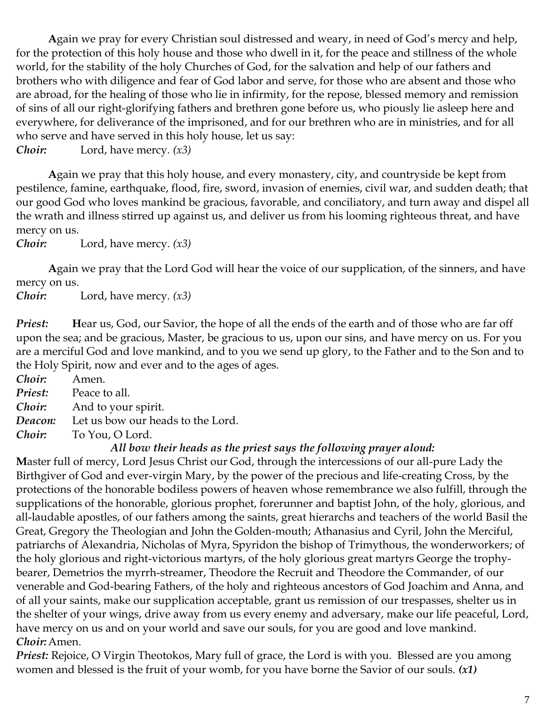**A**gain we pray for every Christian soul distressed and weary, in need of God's mercy and help, for the protection of this holy house and those who dwell in it, for the peace and stillness of the whole world, for the stability of the holy Churches of God, for the salvation and help of our fathers and brothers who with diligence and fear of God labor and serve, for those who are absent and those who are abroad, for the healing of those who lie in infirmity, for the repose, blessed memory and remission of sins of all our right-glorifying fathers and brethren gone before us, who piously lie asleep here and everywhere, for deliverance of the imprisoned, and for our brethren who are in ministries, and for all who serve and have served in this holy house, let us say:

*Choir:* Lord, have mercy. *(x3)*

**A**gain we pray that this holy house, and every monastery, city, and countryside be kept from pestilence, famine, earthquake, flood, fire, sword, invasion of enemies, civil war, and sudden death; that our good God who loves mankind be gracious, favorable, and conciliatory, and turn away and dispel all the wrath and illness stirred up against us, and deliver us from his looming righteous threat, and have mercy on us.

*Choir:* Lord, have mercy. *(x3)*

**A**gain we pray that the Lord God will hear the voice of our supplication, of the sinners, and have mercy on us.

*Choir:* Lord, have mercy. *(x3)*

*Priest:* Hear us, God, our Savior, the hope of all the ends of the earth and of those who are far off upon the sea; and be gracious, Master, be gracious to us, upon our sins, and have mercy on us. For you are a merciful God and love mankind, and to you we send up glory, to the Father and to the Son and to the Holy Spirit, now and ever and to the ages of ages.

*Choir:* Amen. *Priest:* Peace to all. *Choir:* And to your spirit. *Deacon:* Let us bow our heads to the Lord. *Choir:* To You, O Lord.

### *All bow their heads as the priest says the following prayer aloud:*

**M**aster full of mercy, Lord Jesus Christ our God, through the intercessions of our all-pure Lady the Birthgiver of God and ever-virgin Mary, by the power of the precious and life-creating Cross, by the protections of the honorable bodiless powers of heaven whose remembrance we also fulfill, through the supplications of the honorable, glorious prophet, forerunner and baptist John, of the holy, glorious, and all-laudable apostles, of our fathers among the saints, great hierarchs and teachers of the world Basil the Great, Gregory the Theologian and John the Golden-mouth; Athanasius and Cyril, John the Merciful, patriarchs of Alexandria, Nicholas of Myra, Spyridon the bishop of Trimythous, the wonderworkers; of the holy glorious and right-victorious martyrs, of the holy glorious great martyrs George the trophybearer, Demetrios the myrrh-streamer, Theodore the Recruit and Theodore the Commander, of our venerable and God-bearing Fathers, of the holy and righteous ancestors of God Joachim and Anna, and of all your saints, make our supplication acceptable, grant us remission of our trespasses, shelter us in the shelter of your wings, drive away from us every enemy and adversary, make our life peaceful, Lord, have mercy on us and on your world and save our souls, for you are good and love mankind. *Choir:*Amen.

*Priest:* Rejoice, O Virgin Theotokos, Mary full of grace, the Lord is with you. Blessed are you among women and blessed is the fruit of your womb, for you have borne the Savior of our souls. *(x1)*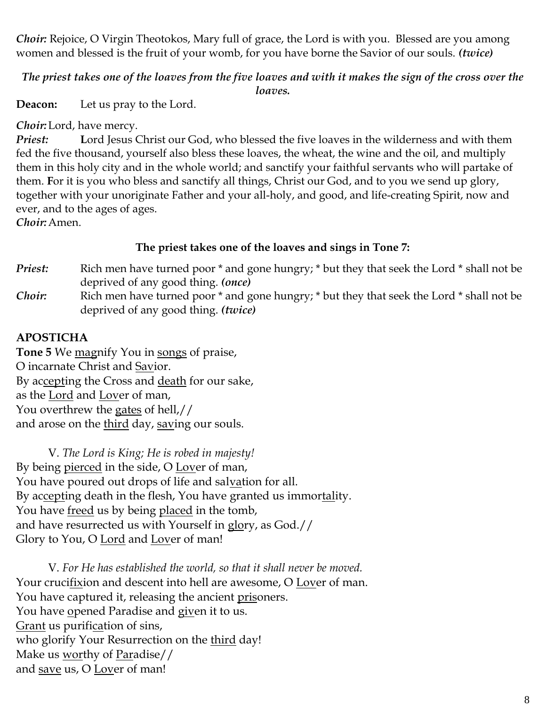*Choir: Rejoice, O Virgin Theotokos, Mary full of grace, the Lord is with you. Blessed are you among* women and blessed is the fruit of your womb, for you have borne the Savior of our souls. *(twice)*

*The priest takes one of the loaves from the five loaves and with it makes the sign of the cross over the loaves.*

**Deacon:** Let us pray to the Lord.

*Choir:*Lord, have mercy.

*Priest:* **L**ord Jesus Christ our God, who blessed the five loaves in the wilderness and with them fed the five thousand, yourself also bless these loaves, the wheat, the wine and the oil, and multiply them in this holy city and in the whole world; and sanctify your faithful servants who will partake of them. **F**or it is you who bless and sanctify all things, Christ our God, and to you we send up glory, together with your unoriginate Father and your all-holy, and good, and life-creating Spirit, now and ever, and to the ages of ages.

*Choir:*Amen.

### **The priest takes one of the loaves and sings in Tone 7:**

- *Priest:* Rich men have turned poor \* and gone hungry; \* but they that seek the Lord \* shall not be deprived of any good thing. *(once)*
- *Choir*: Rich men have turned poor \* and gone hungry; \* but they that seek the Lord \* shall not be deprived of any good thing. *(twice)*

# **APOSTICHA**

**Tone 5** We magnify You in songs of praise, O incarnate Christ and Savior. By accepting the Cross and death for our sake, as the Lord and Lover of man, You overthrew the gates of hell,// and arose on the third day, saving our souls.

V. *The Lord is King; He is robed in majesty!*  By being pierced in the side, O Lover of man, You have poured out drops of life and salvation for all. By accepting death in the flesh, You have granted us immortality. You have freed us by being placed in the tomb, and have resurrected us with Yourself in glory, as God.// Glory to You, O Lord and Lover of man!

V. *For He has established the world, so that it shall never be moved.* Your crucifixion and descent into hell are awesome, O Lover of man. You have captured it, releasing the ancient prisoners. You have opened Paradise and given it to us. Grant us purification of sins, who glorify Your Resurrection on the third day! Make us worthy of Paradise// and save us, O Lover of man!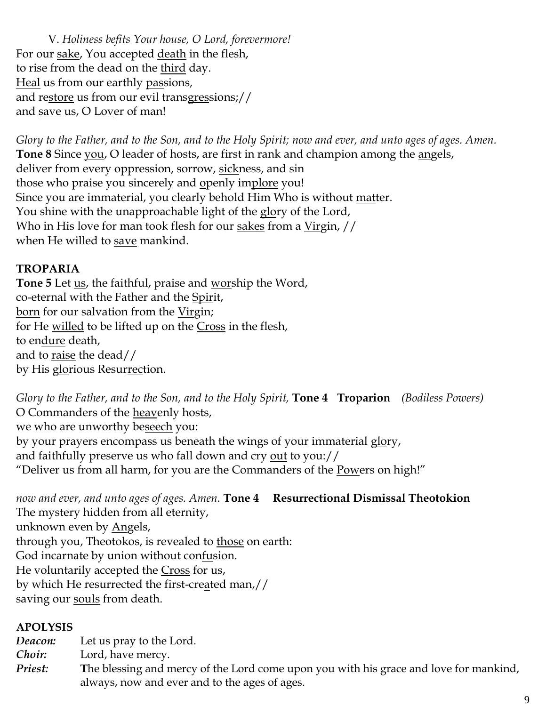V. *Holiness befits Your house, O Lord, forevermore!*  For our sake, You accepted death in the flesh, to rise from the dead on the third day. Heal us from our earthly passions, and restore us from our evil transgressions;// and save us, O Lover of man!

*Glory to the Father, and to the Son, and to the Holy Spirit; now and ever, and unto ages of ages. Amen.* **Tone 8** Since you, O leader of hosts, are first in rank and champion among the angels, deliver from every oppression, sorrow, sickness, and sin those who praise you sincerely and openly implore you! Since you are immaterial, you clearly behold Him Who is without matter. You shine with the unapproachable light of the glory of the Lord, Who in His love for man took flesh for our sakes from a Virgin, // when He willed to save mankind.

### **TROPARIA**

**Tone 5** Let us, the faithful, praise and worship the Word, co-eternal with the Father and the Spirit, born for our salvation from the Virgin; for He <u>willed</u> to be lifted up on the Cross in the flesh, to endure death, and to raise the dead// by His glorious Resurrection.

*Glory to the Father, and to the Son, and to the Holy Spirit,* **Tone 4 Troparion** *(Bodiless Powers)* O Commanders of the heavenly hosts, we who are unworthy beseech you: by your prayers encompass us beneath the wings of your immaterial glory, and faithfully preserve us who fall down and cry out to you:// "Deliver us from all harm, for you are the Commanders of the Powers on high!"

*now and ever, and unto ages of ages. Amen.* **Tone 4 Resurrectional Dismissal Theotokion** The mystery hidden from all eternity, unknown even by Angels, through you, Theotokos, is revealed to those on earth: God incarnate by union without confusion. He voluntarily accepted the Cross for us, by which He resurrected the first-created man,// saving our souls from death.

### **APOLYSIS**

*Deacon:* Let us pray to the Lord.

*Choir:* Lord, have mercy.

*Priest:* **T**he blessing and mercy of the Lord come upon you with his grace and love for mankind, always, now and ever and to the ages of ages.